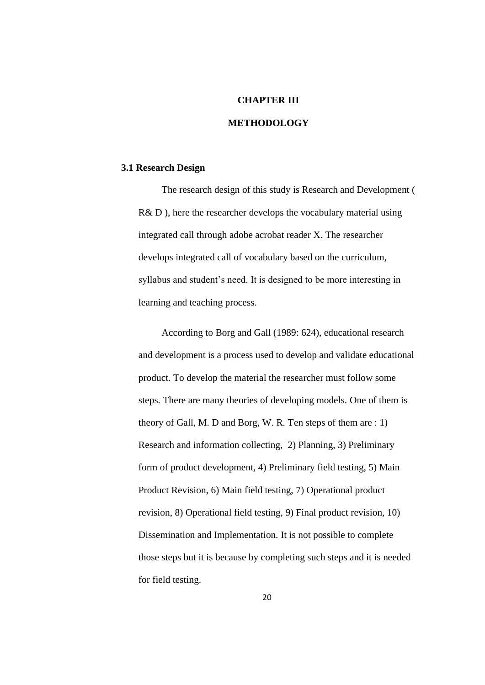### **CHAPTER III**

# **METHODOLOGY**

## **3.1 Research Design**

The research design of this study is Research and Development ( R& D), here the researcher develops the vocabulary material using integrated call through adobe acrobat reader X. The researcher develops integrated call of vocabulary based on the curriculum, syllabus and student's need. It is designed to be more interesting in learning and teaching process.

According to Borg and Gall (1989: 624), educational research and development is a process used to develop and validate educational product. To develop the material the researcher must follow some steps. There are many theories of developing models. One of them is theory of Gall, M. D and Borg, W. R. Ten steps of them are : 1) Research and information collecting, 2) Planning, 3) Preliminary form of product development, 4) Preliminary field testing, 5) Main Product Revision, 6) Main field testing, 7) Operational product revision, 8) Operational field testing, 9) Final product revision, 10) Dissemination and Implementation. It is not possible to complete those steps but it is because by completing such steps and it is needed for field testing.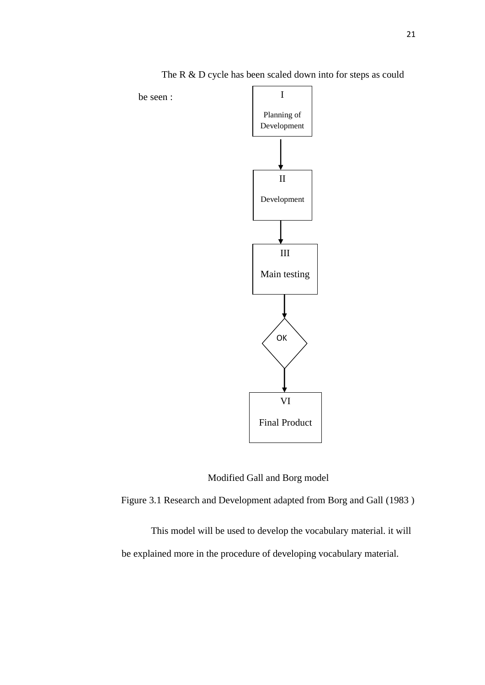

The R & D cycle has been scaled down into for steps as could

be seen :



Figure 3.1 Research and Development adapted from Borg and Gall (1983 )

This model will be used to develop the vocabulary material. it will be explained more in the procedure of developing vocabulary material.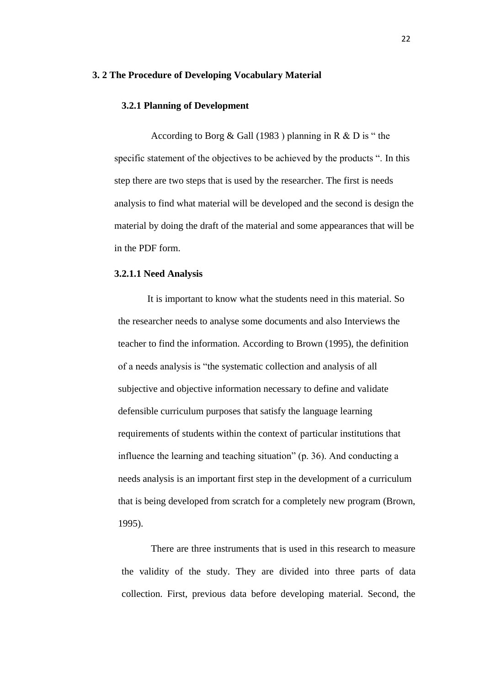#### **3. 2 The Procedure of Developing Vocabulary Material**

### **3.2.1 Planning of Development**

According to Borg  $& Gall (1983)$  planning in R  $& D$  is "the specific statement of the objectives to be achieved by the products ". In this step there are two steps that is used by the researcher. The first is needs analysis to find what material will be developed and the second is design the material by doing the draft of the material and some appearances that will be in the PDF form.

### **3.2.1.1 Need Analysis**

It is important to know what the students need in this material. So the researcher needs to analyse some documents and also Interviews the teacher to find the information. According to Brown (1995), the definition of a needs analysis is "the systematic collection and analysis of all subjective and objective information necessary to define and validate defensible curriculum purposes that satisfy the language learning requirements of students within the context of particular institutions that influence the learning and teaching situation" (p. 36). And conducting a needs analysis is an important first step in the development of a curriculum that is being developed from scratch for a completely new program (Brown, 1995).

There are three instruments that is used in this research to measure the validity of the study. They are divided into three parts of data collection. First, previous data before developing material. Second, the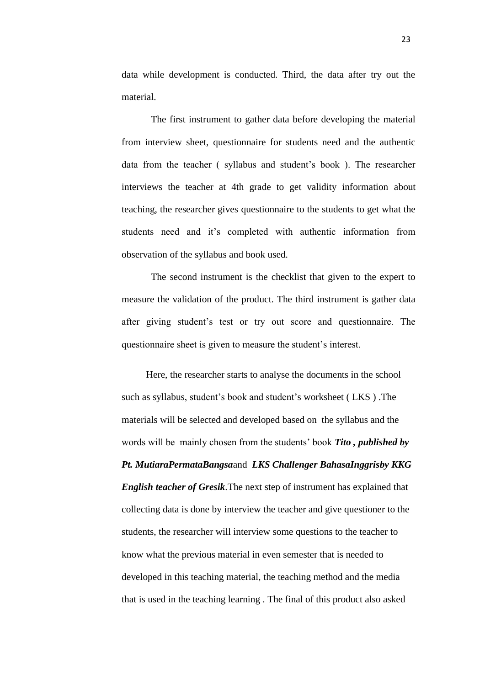data while development is conducted. Third, the data after try out the material.

The first instrument to gather data before developing the material from interview sheet, questionnaire for students need and the authentic data from the teacher ( syllabus and student's book ). The researcher interviews the teacher at 4th grade to get validity information about teaching, the researcher gives questionnaire to the students to get what the students need and it's completed with authentic information from observation of the syllabus and book used.

The second instrument is the checklist that given to the expert to measure the validation of the product. The third instrument is gather data after giving student's test or try out score and questionnaire. The questionnaire sheet is given to measure the student's interest.

Here, the researcher starts to analyse the documents in the school such as syllabus, student's book and student's worksheet ( LKS ) .The materials will be selected and developed based on the syllabus and the words will be mainly chosen from the students' book *Tito , published by Pt. MutiaraPermataBangsa*and *LKS Challenger BahasaInggrisby KKG English teacher of Gresik*.The next step of instrument has explained that collecting data is done by interview the teacher and give questioner to the students, the researcher will interview some questions to the teacher to know what the previous material in even semester that is needed to developed in this teaching material, the teaching method and the media that is used in the teaching learning . The final of this product also asked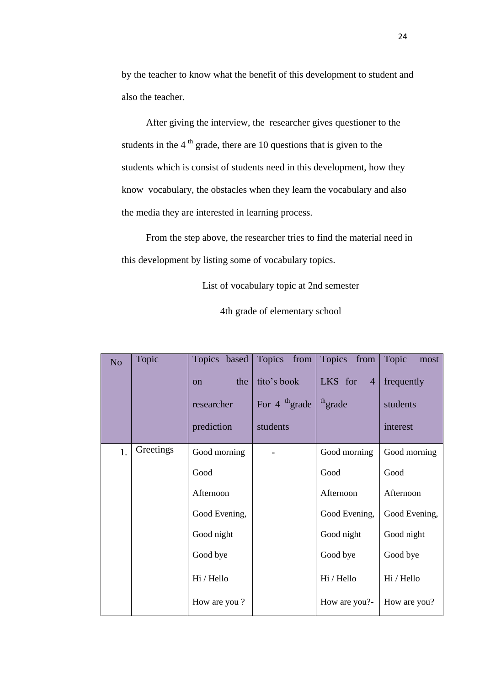by the teacher to know what the benefit of this development to student and also the teacher.

After giving the interview, the researcher gives questioner to the students in the  $4<sup>th</sup>$  grade, there are 10 questions that is given to the students which is consist of students need in this development, how they know vocabulary, the obstacles when they learn the vocabulary and also the media they are interested in learning process.

From the step above, the researcher tries to find the material need in this development by listing some of vocabulary topics.

List of vocabulary topic at 2nd semester

4th grade of elementary school

| N <sub>o</sub> | Topic     | Topics based<br>the<br><sub>on</sub><br>researcher<br>prediction | Topics from<br>tito's book<br>For $4^{th}$ grade<br>students | Topics from<br>LKS for<br>$\overline{4}$<br>th <sub>grade</sub> | Topic<br>most<br>frequently<br>students<br>interest |
|----------------|-----------|------------------------------------------------------------------|--------------------------------------------------------------|-----------------------------------------------------------------|-----------------------------------------------------|
| 1.             | Greetings | Good morning                                                     |                                                              | Good morning                                                    | Good morning                                        |
|                |           | Good                                                             |                                                              | Good                                                            | Good                                                |
|                |           | Afternoon                                                        |                                                              | Afternoon                                                       | Afternoon                                           |
|                |           | Good Evening,                                                    |                                                              | Good Evening,                                                   | Good Evening,                                       |
|                |           | Good night                                                       |                                                              | Good night                                                      | Good night                                          |
|                |           | Good bye                                                         |                                                              | Good bye                                                        | Good bye                                            |
|                |           | Hi / Hello                                                       |                                                              | Hi / Hello                                                      | Hi / Hello                                          |
|                |           | How are you?                                                     |                                                              | How are you?-                                                   | How are you?                                        |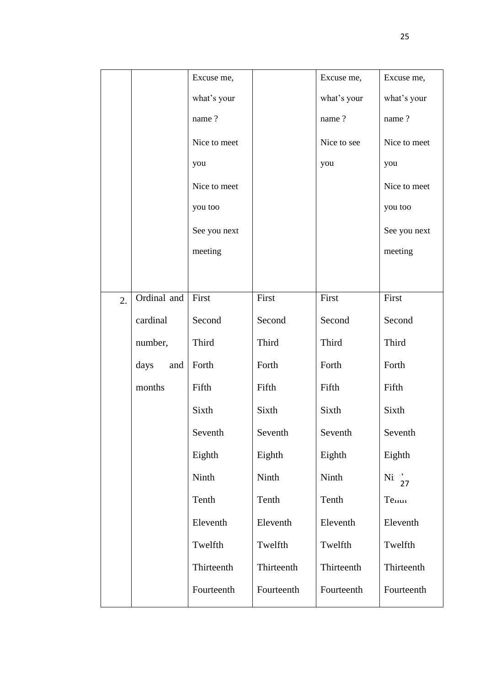|                  |             | Excuse me,   |            | Excuse me,  | Excuse me,        |
|------------------|-------------|--------------|------------|-------------|-------------------|
|                  |             | what's your  |            | what's your | what's your       |
|                  |             | name?        |            | name?       | name?             |
|                  |             | Nice to meet |            | Nice to see | Nice to meet      |
|                  |             | you          |            | you         | you               |
|                  |             | Nice to meet |            |             | Nice to meet      |
|                  |             | you too      |            |             | you too           |
|                  |             | See you next |            |             | See you next      |
|                  |             | meeting      |            |             | meeting           |
|                  |             |              |            |             |                   |
| $\overline{2}$ . | Ordinal and | First        | First      | First       | First             |
|                  | cardinal    | Second       | Second     | Second      | Second            |
|                  | number,     | Third        | Third      | Third       | Third             |
|                  | days<br>and | Forth        | Forth      | Forth       | Forth             |
|                  | months      | Fifth        | Fifth      | Fifth       | Fifth             |
|                  |             | Sixth        | Sixth      | Sixth       | Sixth             |
|                  |             | Seventh      | Seventh    | Seventh     | Seventh           |
|                  |             | Eighth       | Eighth     | Eighth      | Eighth            |
|                  |             | Ninth        | Ninth      | Ninth       | Ni $\frac{1}{27}$ |
|                  |             | Tenth        | Tenth      | Tenth       | Тепит             |
|                  |             | Eleventh     | Eleventh   | Eleventh    | Eleventh          |
|                  |             | Twelfth      | Twelfth    | Twelfth     | Twelfth           |
|                  |             | Thirteenth   | Thirteenth | Thirteenth  | Thirteenth        |
|                  |             | Fourteenth   | Fourteenth | Fourteenth  | Fourteenth        |
|                  |             |              |            |             |                   |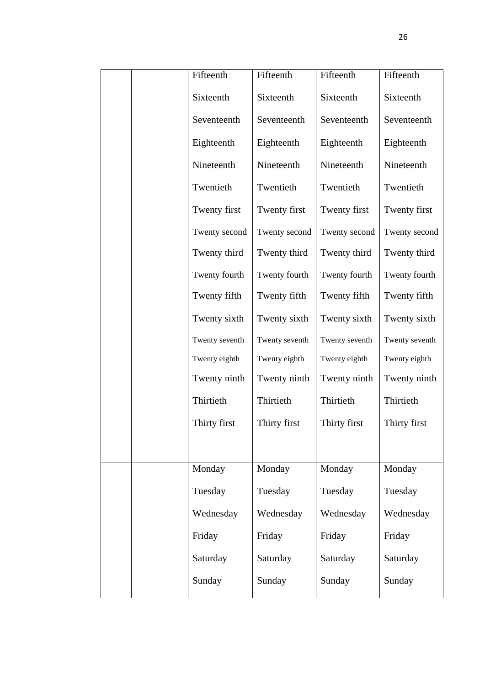|  | Fifteenth      | Fifteenth      | Fifteenth      | Fifteenth      |
|--|----------------|----------------|----------------|----------------|
|  | Sixteenth      | Sixteenth      | Sixteenth      | Sixteenth      |
|  | Seventeenth    | Seventeenth    | Seventeenth    | Seventeenth    |
|  | Eighteenth     | Eighteenth     | Eighteenth     | Eighteenth     |
|  | Nineteenth     | Nineteenth     | Nineteenth     | Nineteenth     |
|  | Twentieth      | Twentieth      | Twentieth      | Twentieth      |
|  | Twenty first   | Twenty first   | Twenty first   | Twenty first   |
|  | Twenty second  | Twenty second  | Twenty second  | Twenty second  |
|  | Twenty third   | Twenty third   | Twenty third   | Twenty third   |
|  | Twenty fourth  | Twenty fourth  | Twenty fourth  | Twenty fourth  |
|  | Twenty fifth   | Twenty fifth   | Twenty fifth   | Twenty fifth   |
|  | Twenty sixth   | Twenty sixth   | Twenty sixth   | Twenty sixth   |
|  | Twenty seventh | Twenty seventh | Twenty seventh | Twenty seventh |
|  | Twenty eighth  | Twenty eighth  | Twenty eighth  | Twenty eighth  |
|  | Twenty ninth   | Twenty ninth   | Twenty ninth   | Twenty ninth   |
|  | Thirtieth      | Thirtieth      | Thirtieth      | Thirtieth      |
|  | Thirty first   | Thirty first   | Thirty first   | Thirty first   |
|  |                |                |                |                |
|  | Monday         | Monday         | Monday         | Monday         |
|  | Tuesday        | Tuesday        | Tuesday        | Tuesday        |
|  | Wednesday      | Wednesday      | Wednesday      | Wednesday      |
|  | Friday         | Friday         | Friday         | Friday         |
|  | Saturday       | Saturday       | Saturday       | Saturday       |
|  | Sunday         | Sunday         | Sunday         | Sunday         |
|  |                |                |                |                |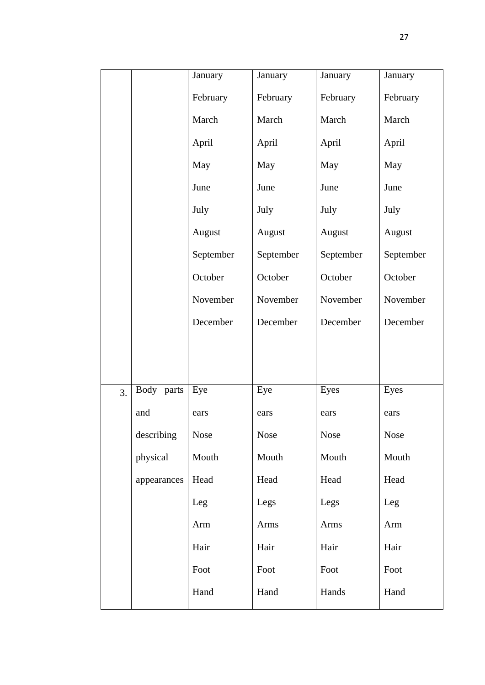|    |             | January   | January   | January   | January   |
|----|-------------|-----------|-----------|-----------|-----------|
|    |             | February  | February  | February  | February  |
|    |             | March     | March     | March     | March     |
|    |             | April     | April     | April     | April     |
|    |             | May       | May       | May       | May       |
|    |             | June      | June      | June      | June      |
|    |             | July      | July      | July      | July      |
|    |             | August    | August    | August    | August    |
|    |             | September | September | September | September |
|    |             | October   | October   | October   | October   |
|    |             | November  | November  | November  | November  |
|    |             | December  | December  | December  | December  |
|    |             |           |           |           |           |
|    |             |           |           |           |           |
| 3. | Body parts  | Eye       | Eye       | Eyes      | Eyes      |
|    | and         | ears      | ears      | ears      | ears      |
|    | describing  | Nose      | Nose      | Nose      | Nose      |
|    | physical    | Mouth     | Mouth     | Mouth     | Mouth     |
|    | appearances | Head      | Head      | Head      | Head      |
|    |             | Leg       | Legs      | Legs      | Leg       |
|    |             | Arm       | Arms      | Arms      | Arm       |
|    |             | Hair      | Hair      | Hair      | Hair      |
|    |             | Foot      | Foot      | Foot      | Foot      |
|    |             | Hand      | Hand      | Hands     | Hand      |
|    |             |           |           |           |           |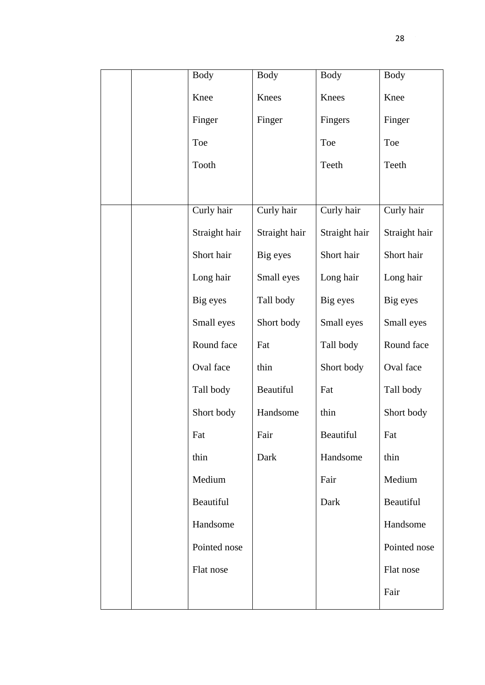|  | <b>Body</b>   | <b>Body</b>   | <b>Body</b>   | <b>Body</b>   |
|--|---------------|---------------|---------------|---------------|
|  | Knee          | Knees         | Knees         | Knee          |
|  | Finger        | Finger        | Fingers       | Finger        |
|  | Toe           |               | Toe           | Toe           |
|  | Tooth         |               | Teeth         | Teeth         |
|  |               |               |               |               |
|  | Curly hair    | Curly hair    | Curly hair    | Curly hair    |
|  | Straight hair | Straight hair | Straight hair | Straight hair |
|  | Short hair    | Big eyes      | Short hair    | Short hair    |
|  | Long hair     | Small eyes    | Long hair     | Long hair     |
|  | Big eyes      | Tall body     | Big eyes      | Big eyes      |
|  | Small eyes    | Short body    | Small eyes    | Small eyes    |
|  | Round face    | Fat           | Tall body     | Round face    |
|  | Oval face     | thin          | Short body    | Oval face     |
|  | Tall body     | Beautiful     | Fat           | Tall body     |
|  | Short body    | Handsome      | thin          | Short body    |
|  | Fat           | Fair          | Beautiful     | Fat           |
|  | thin          | Dark          | Handsome      | thin          |
|  | Medium        |               | Fair          | Medium        |
|  | Beautiful     |               | Dark          | Beautiful     |
|  | Handsome      |               |               | Handsome      |
|  | Pointed nose  |               |               | Pointed nose  |
|  | Flat nose     |               |               | Flat nose     |
|  |               |               |               | Fair          |
|  |               |               |               |               |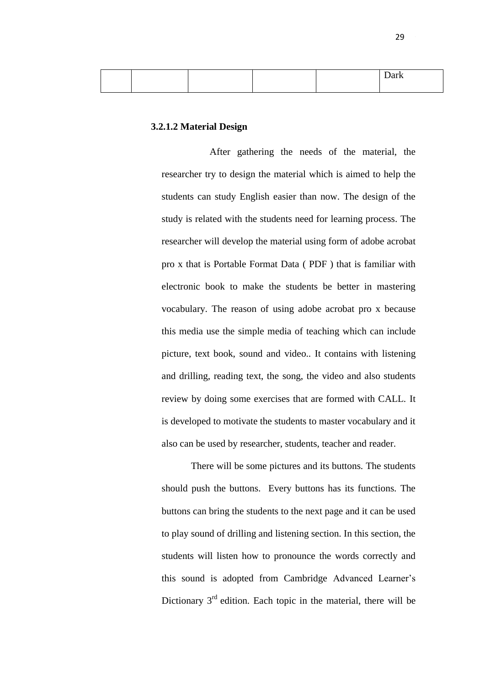|  |  | $\lambda$<br>Dain |
|--|--|-------------------|
|  |  |                   |

### **3.2.1.2 Material Design**

After gathering the needs of the material, the researcher try to design the material which is aimed to help the students can study English easier than now. The design of the study is related with the students need for learning process. The researcher will develop the material using form of adobe acrobat pro x that is Portable Format Data ( PDF ) that is familiar with electronic book to make the students be better in mastering vocabulary. The reason of using adobe acrobat pro x because this media use the simple media of teaching which can include picture, text book, sound and video.. It contains with listening and drilling, reading text, the song, the video and also students review by doing some exercises that are formed with CALL. It is developed to motivate the students to master vocabulary and it also can be used by researcher, students, teacher and reader.

There will be some pictures and its buttons. The students should push the buttons. Every buttons has its functions. The buttons can bring the students to the next page and it can be used to play sound of drilling and listening section. In this section, the students will listen how to pronounce the words correctly and this sound is adopted from Cambridge Advanced Learner's Dictionary  $3<sup>rd</sup>$  edition. Each topic in the material, there will be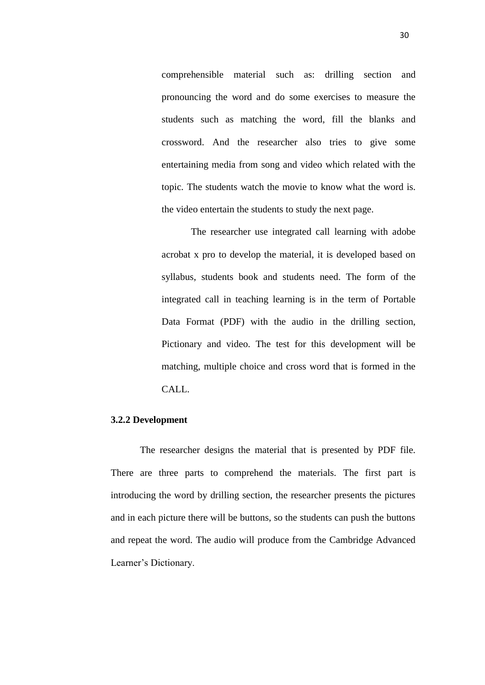comprehensible material such as: drilling section and pronouncing the word and do some exercises to measure the students such as matching the word, fill the blanks and crossword. And the researcher also tries to give some entertaining media from song and video which related with the topic. The students watch the movie to know what the word is. the video entertain the students to study the next page.

The researcher use integrated call learning with adobe acrobat x pro to develop the material, it is developed based on syllabus, students book and students need. The form of the integrated call in teaching learning is in the term of Portable Data Format (PDF) with the audio in the drilling section, Pictionary and video. The test for this development will be matching, multiple choice and cross word that is formed in the CALL.

### **3.2.2 Development**

The researcher designs the material that is presented by PDF file. There are three parts to comprehend the materials. The first part is introducing the word by drilling section, the researcher presents the pictures and in each picture there will be buttons, so the students can push the buttons and repeat the word. The audio will produce from the Cambridge Advanced Learner's Dictionary.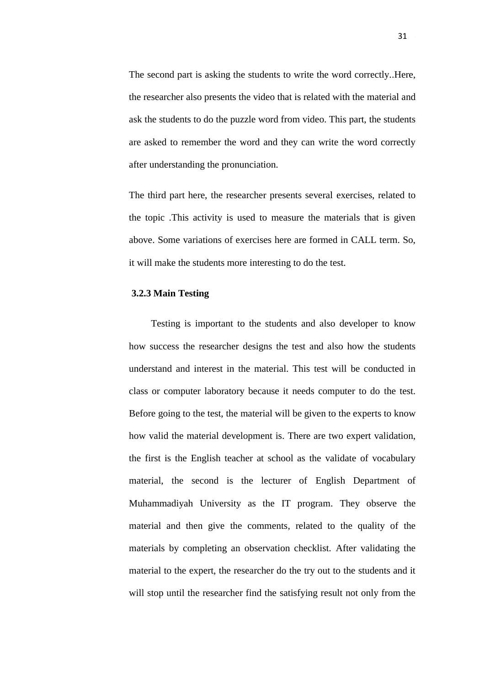The second part is asking the students to write the word correctly..Here, the researcher also presents the video that is related with the material and ask the students to do the puzzle word from video. This part, the students are asked to remember the word and they can write the word correctly after understanding the pronunciation.

The third part here, the researcher presents several exercises, related to the topic .This activity is used to measure the materials that is given above. Some variations of exercises here are formed in CALL term. So, it will make the students more interesting to do the test.

### **3.2.3 Main Testing**

Testing is important to the students and also developer to know how success the researcher designs the test and also how the students understand and interest in the material. This test will be conducted in class or computer laboratory because it needs computer to do the test. Before going to the test, the material will be given to the experts to know how valid the material development is. There are two expert validation, the first is the English teacher at school as the validate of vocabulary material, the second is the lecturer of English Department of Muhammadiyah University as the IT program. They observe the material and then give the comments, related to the quality of the materials by completing an observation checklist. After validating the material to the expert, the researcher do the try out to the students and it will stop until the researcher find the satisfying result not only from the